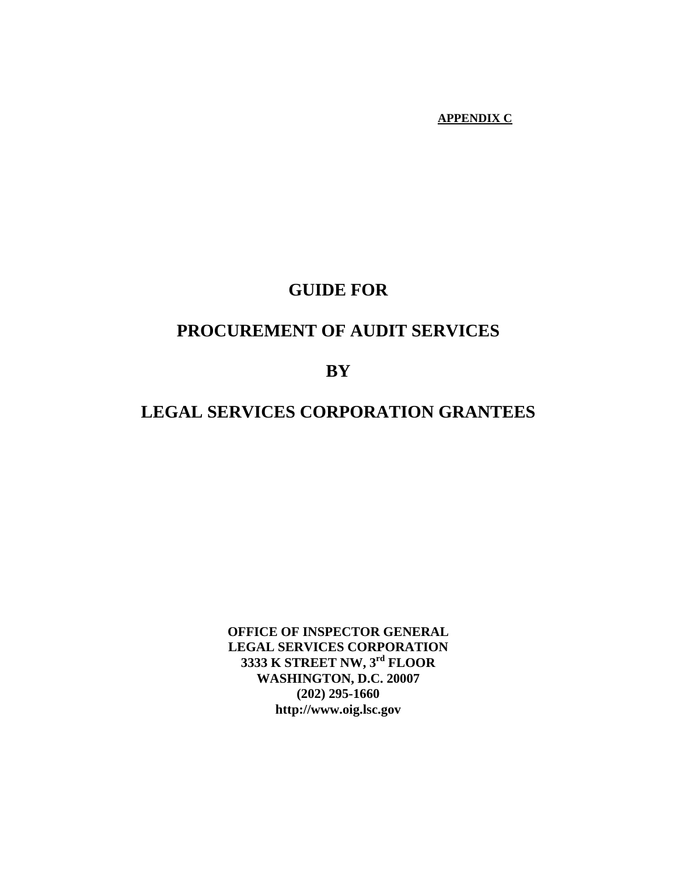#### **APPENDIX C**

## **GUIDE FOR**

## **PROCUREMENT OF AUDIT SERVICES**

 **BY** 

## **LEGAL SERVICES CORPORATION GRANTEES**

**OFFICE OF INSPECTOR GENERAL LEGAL SERVICES CORPORATION 3333 K STREET NW, 3rd FLOOR WASHINGTON, D.C. 20007 (202) 295-1660 http://www.oig.lsc.gov**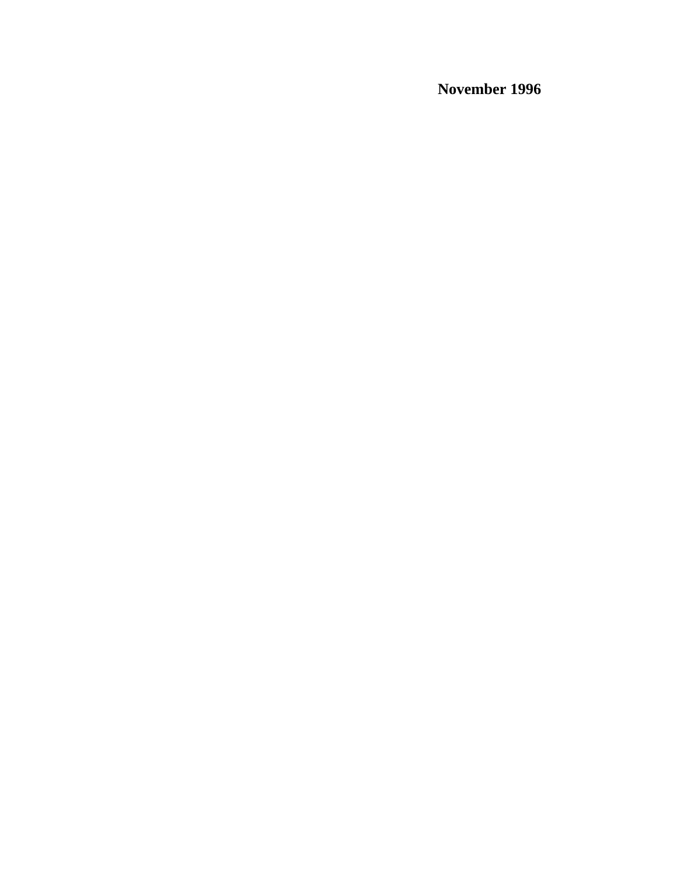**November 1996**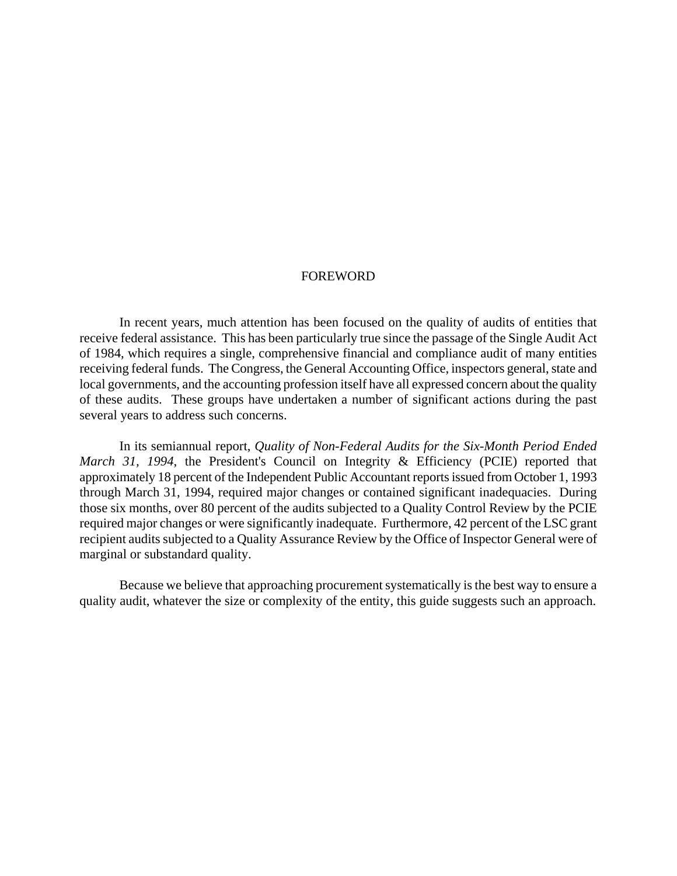#### FOREWORD

In recent years, much attention has been focused on the quality of audits of entities that receive federal assistance. This has been particularly true since the passage of the Single Audit Act of 1984, which requires a single, comprehensive financial and compliance audit of many entities receiving federal funds. The Congress, the General Accounting Office, inspectors general, state and local governments, and the accounting profession itself have all expressed concern about the quality of these audits. These groups have undertaken a number of significant actions during the past several years to address such concerns.

In its semiannual report, *Quality of Non-Federal Audits for the Six-Month Period Ended March 31, 1994*, the President's Council on Integrity & Efficiency (PCIE) reported that approximately 18 percent of the Independent Public Accountant reports issued from October 1, 1993 through March 31, 1994, required major changes or contained significant inadequacies. During those six months, over 80 percent of the audits subjected to a Quality Control Review by the PCIE required major changes or were significantly inadequate. Furthermore, 42 percent of the LSC grant recipient audits subjected to a Quality Assurance Review by the Office of Inspector General were of marginal or substandard quality.

Because we believe that approaching procurement systematically is the best way to ensure a quality audit, whatever the size or complexity of the entity, this guide suggests such an approach.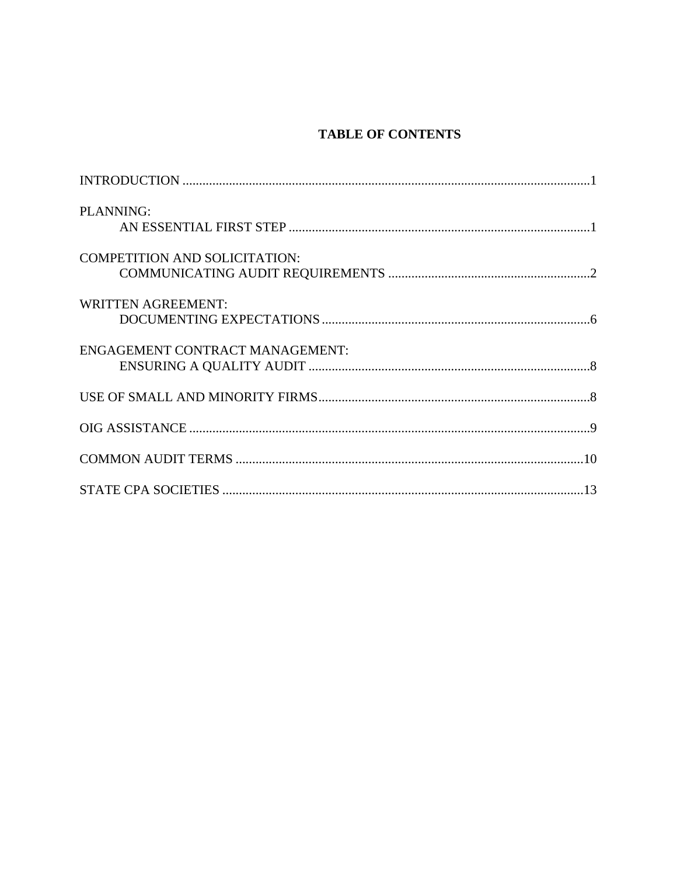## **TABLE OF CONTENTS**

| PLANNING:                              |  |
|----------------------------------------|--|
| <b>COMPETITION AND SOLICITATION:</b>   |  |
| <b>WRITTEN AGREEMENT:</b>              |  |
| <b>ENGAGEMENT CONTRACT MANAGEMENT:</b> |  |
|                                        |  |
|                                        |  |
|                                        |  |
|                                        |  |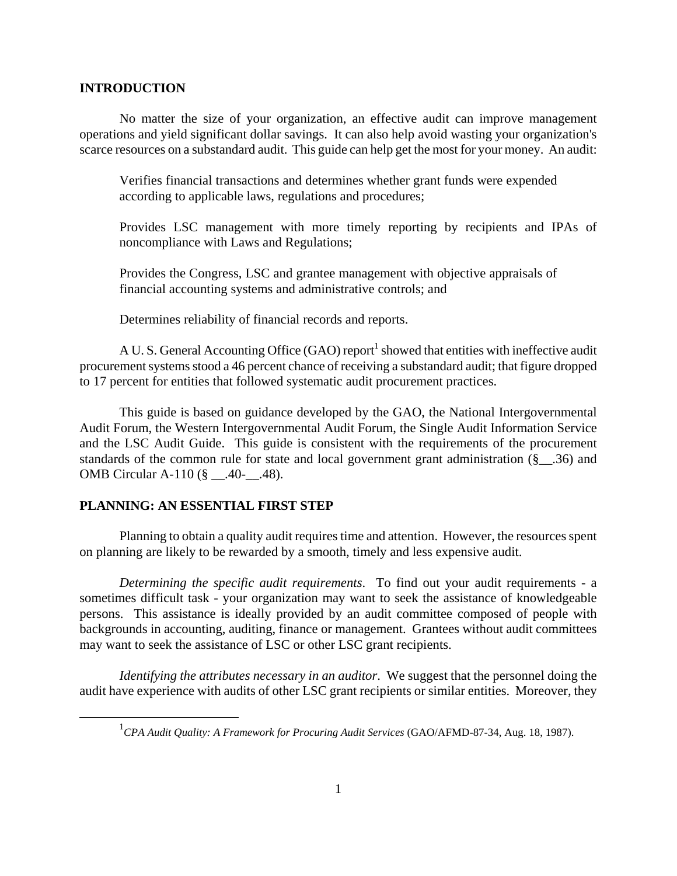#### **INTRODUCTION**

No matter the size of your organization, an effective audit can improve management operations and yield significant dollar savings. It can also help avoid wasting your organization's scarce resources on a substandard audit. This guide can help get the most for your money. An audit:

Verifies financial transactions and determines whether grant funds were expended according to applicable laws, regulations and procedures;

Provides LSC management with more timely reporting by recipients and IPAs of noncompliance with Laws and Regulations;

Provides the Congress, LSC and grantee management with objective appraisals of financial accounting systems and administrative controls; and

Determines reliability of financial records and reports.

A U.S. General Accounting Office (GAO) report<sup>1</sup> [s](#page-4-0)howed that entities with ineffective audit procurement systems stood a 46 percent chance of receiving a substandard audit; that figure dropped to 17 percent for entities that followed systematic audit procurement practices.

This guide is based on guidance developed by the GAO, the National Intergovernmental Audit Forum, the Western Intergovernmental Audit Forum, the Single Audit Information Service and the LSC Audit Guide. This guide is consistent with the requirements of the procurement standards of the common rule for state and local government grant administration (§\_\_.36) and OMB Circular A-110 (§ \_\_.40-\_\_.48).

#### **PLANNING: AN ESSENTIAL FIRST STEP**

<u>.</u>

Planning to obtain a quality audit requires time and attention. However, the resources spent on planning are likely to be rewarded by a smooth, timely and less expensive audit.

*Determining the specific audit requirements*. To find out your audit requirements - a sometimes difficult task - your organization may want to seek the assistance of knowledgeable persons. This assistance is ideally provided by an audit committee composed of people with backgrounds in accounting, auditing, finance or management. Grantees without audit committees may want to seek the assistance of LSC or other LSC grant recipients.

*Identifying the attributes necessary in an auditor*. We suggest that the personnel doing the audit have experience with audits of other LSC grant recipients or similar entities. Moreover, they

<span id="page-4-0"></span><sup>1</sup> *CPA Audit Quality: A Framework for Procuring Audit Services* (GAO/AFMD-87-34, Aug. 18, 1987).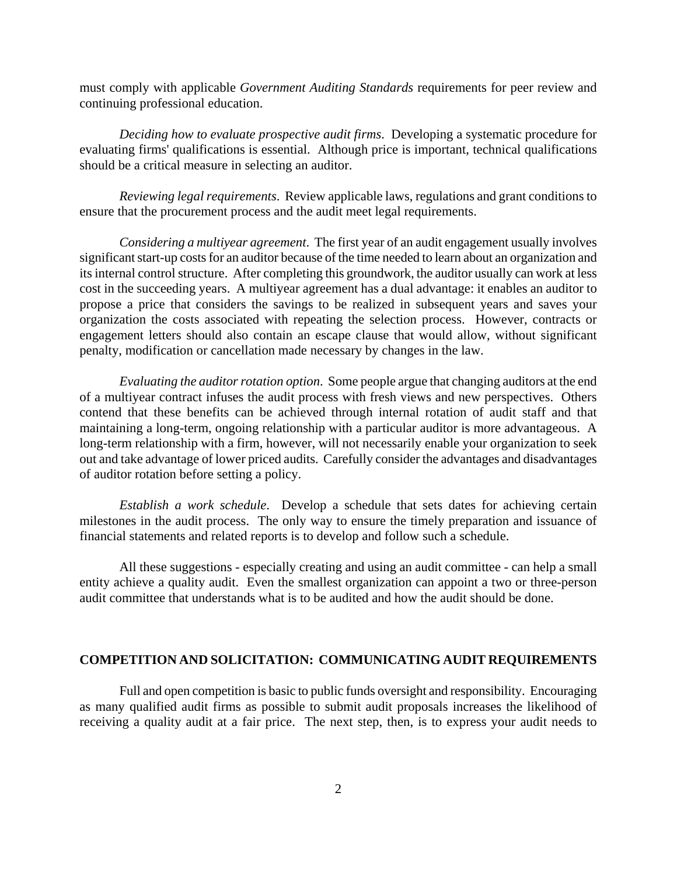must comply with applicable *Government Auditing Standards* requirements for peer review and continuing professional education.

*Deciding how to evaluate prospective audit firms*. Developing a systematic procedure for evaluating firms' qualifications is essential. Although price is important, technical qualifications should be a critical measure in selecting an auditor.

*Reviewing legal requirements*. Review applicable laws, regulations and grant conditions to ensure that the procurement process and the audit meet legal requirements.

*Considering a multiyear agreement*. The first year of an audit engagement usually involves significant start-up costs for an auditor because of the time needed to learn about an organization and its internal control structure. After completing this groundwork, the auditor usually can work at less cost in the succeeding years. A multiyear agreement has a dual advantage: it enables an auditor to propose a price that considers the savings to be realized in subsequent years and saves your organization the costs associated with repeating the selection process. However, contracts or engagement letters should also contain an escape clause that would allow, without significant penalty, modification or cancellation made necessary by changes in the law.

*Evaluating the auditor rotation option*. Some people argue that changing auditors at the end of a multiyear contract infuses the audit process with fresh views and new perspectives. Others contend that these benefits can be achieved through internal rotation of audit staff and that maintaining a long-term, ongoing relationship with a particular auditor is more advantageous. A long-term relationship with a firm, however, will not necessarily enable your organization to seek out and take advantage of lower priced audits. Carefully consider the advantages and disadvantages of auditor rotation before setting a policy.

*Establish a work schedule*. Develop a schedule that sets dates for achieving certain milestones in the audit process. The only way to ensure the timely preparation and issuance of financial statements and related reports is to develop and follow such a schedule.

All these suggestions - especially creating and using an audit committee - can help a small entity achieve a quality audit. Even the smallest organization can appoint a two or three-person audit committee that understands what is to be audited and how the audit should be done.

#### **COMPETITION AND SOLICITATION: COMMUNICATING AUDIT REQUIREMENTS**

Full and open competition is basic to public funds oversight and responsibility. Encouraging as many qualified audit firms as possible to submit audit proposals increases the likelihood of receiving a quality audit at a fair price. The next step, then, is to express your audit needs to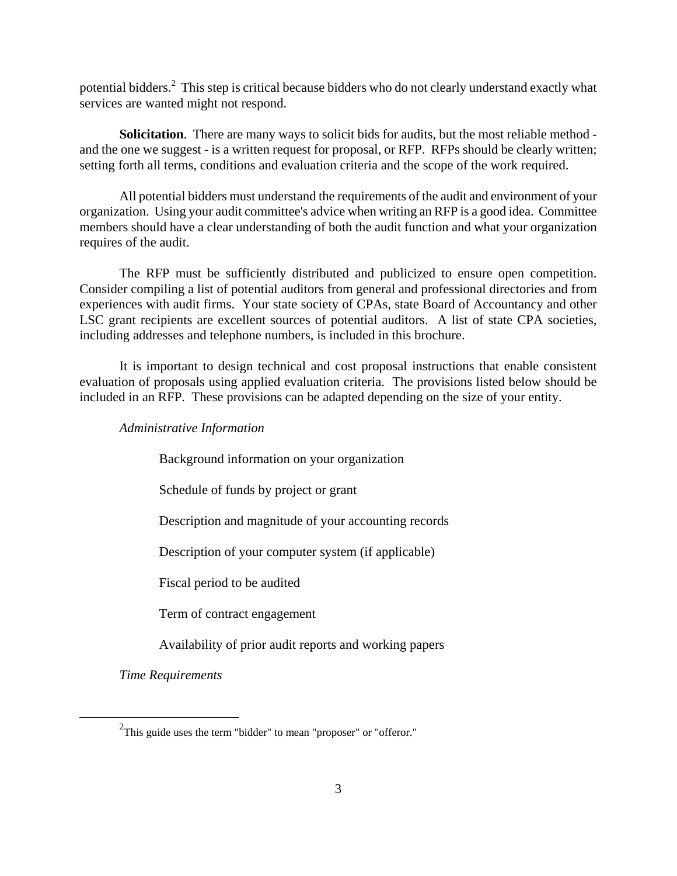potential bidders.<sup>2</sup> This step is critical because bidders who do not clearly understand exactly what services are wanted might not respond.

**Solicitation**. There are many ways to solicit bids for audits, but the most reliable method and the one we suggest - is a written request for proposal, or RFP. RFPs should be clearly written; setting forth all terms, conditions and evaluation criteria and the scope of the work required.

All potential bidders must understand the requirements of the audit and environment of your organization. Using your audit committee's advice when writing an RFP is a good idea. Committee members should have a clear understanding of both the audit function and what your organization requires of the audit.

The RFP must be sufficiently distributed and publicized to ensure open competition. Consider compiling a list of potential auditors from general and professional directories and from experiences with audit firms. Your state society of CPAs, state Board of Accountancy and other LSC grant recipients are excellent sources of potential auditors. A list of state CPA societies, including addresses and telephone numbers, is included in this brochure.

It is important to design technical and cost proposal instructions that enable consistent evaluation of proposals using applied evaluation criteria. The provisions listed below should be included in an RFP. These provisions can be adapted depending on the size of your entity.

*Administrative Information*

Background information on your organization

Schedule of funds by project or grant

Description and magnitude of your accounting records

Description of your computer system (if applicable)

Fiscal period to be audited

Term of contract engagement

Availability of prior audit reports and working papers

*Time Requirements*

 $\overline{a}$ 

<span id="page-6-0"></span> $2$ This guide uses the term "bidder" to mean "proposer" or "offeror."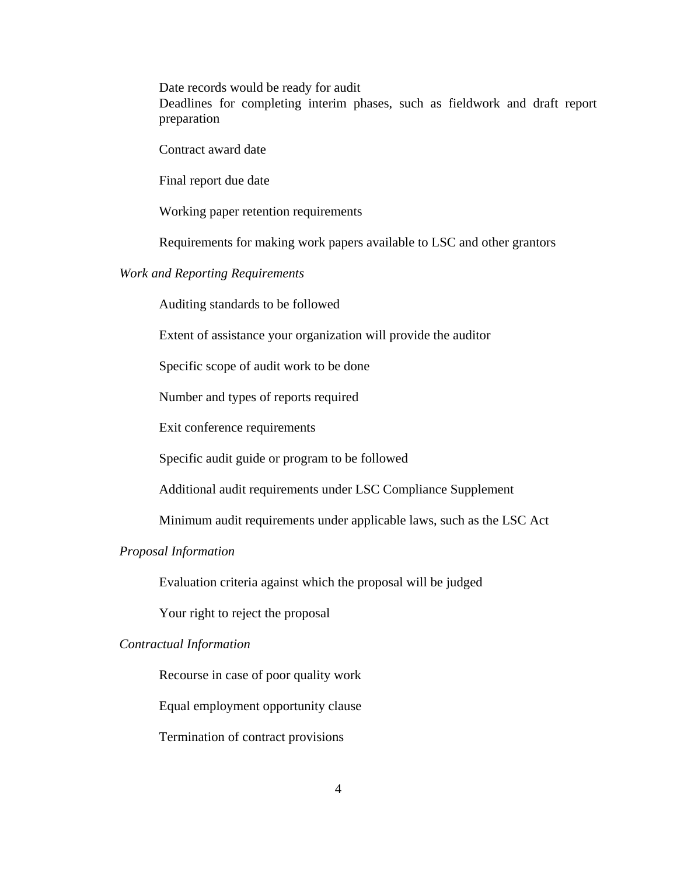Date records would be ready for audit

Deadlines for completing interim phases, such as fieldwork and draft report preparation

Contract award date

Final report due date

Working paper retention requirements

Requirements for making work papers available to LSC and other grantors

#### *Work and Reporting Requirements*

Auditing standards to be followed

Extent of assistance your organization will provide the auditor

Specific scope of audit work to be done

Number and types of reports required

Exit conference requirements

Specific audit guide or program to be followed

Additional audit requirements under LSC Compliance Supplement

Minimum audit requirements under applicable laws, such as the LSC Act

#### *Proposal Information*

Evaluation criteria against which the proposal will be judged

Your right to reject the proposal

#### *Contractual Information*

Recourse in case of poor quality work

Equal employment opportunity clause

Termination of contract provisions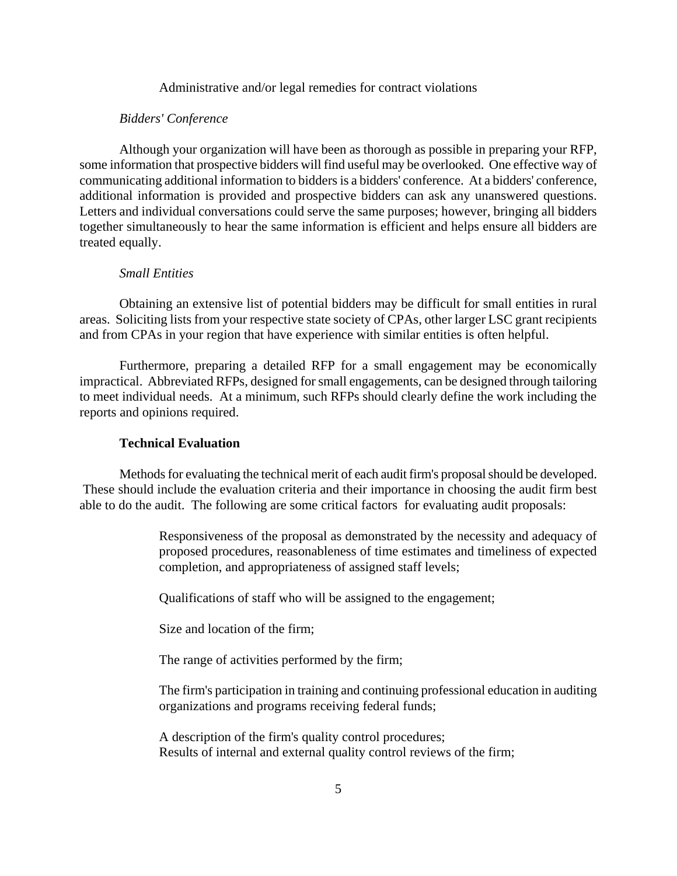#### Administrative and/or legal remedies for contract violations

#### *Bidders' Conference*

Although your organization will have been as thorough as possible in preparing your RFP, some information that prospective bidders will find useful may be overlooked. One effective way of communicating additional information to bidders is a bidders' conference. At a bidders' conference, additional information is provided and prospective bidders can ask any unanswered questions. Letters and individual conversations could serve the same purposes; however, bringing all bidders together simultaneously to hear the same information is efficient and helps ensure all bidders are treated equally.

#### *Small Entities*

Obtaining an extensive list of potential bidders may be difficult for small entities in rural areas. Soliciting lists from your respective state society of CPAs, other larger LSC grant recipients and from CPAs in your region that have experience with similar entities is often helpful.

Furthermore, preparing a detailed RFP for a small engagement may be economically impractical. Abbreviated RFPs, designed for small engagements, can be designed through tailoring to meet individual needs. At a minimum, such RFPs should clearly define the work including the reports and opinions required.

#### **Technical Evaluation**

Methods for evaluating the technical merit of each audit firm's proposal should be developed. These should include the evaluation criteria and their importance in choosing the audit firm best able to do the audit. The following are some critical factors for evaluating audit proposals:

> Responsiveness of the proposal as demonstrated by the necessity and adequacy of proposed procedures, reasonableness of time estimates and timeliness of expected completion, and appropriateness of assigned staff levels;

Qualifications of staff who will be assigned to the engagement;

Size and location of the firm;

The range of activities performed by the firm;

The firm's participation in training and continuing professional education in auditing organizations and programs receiving federal funds;

A description of the firm's quality control procedures; Results of internal and external quality control reviews of the firm;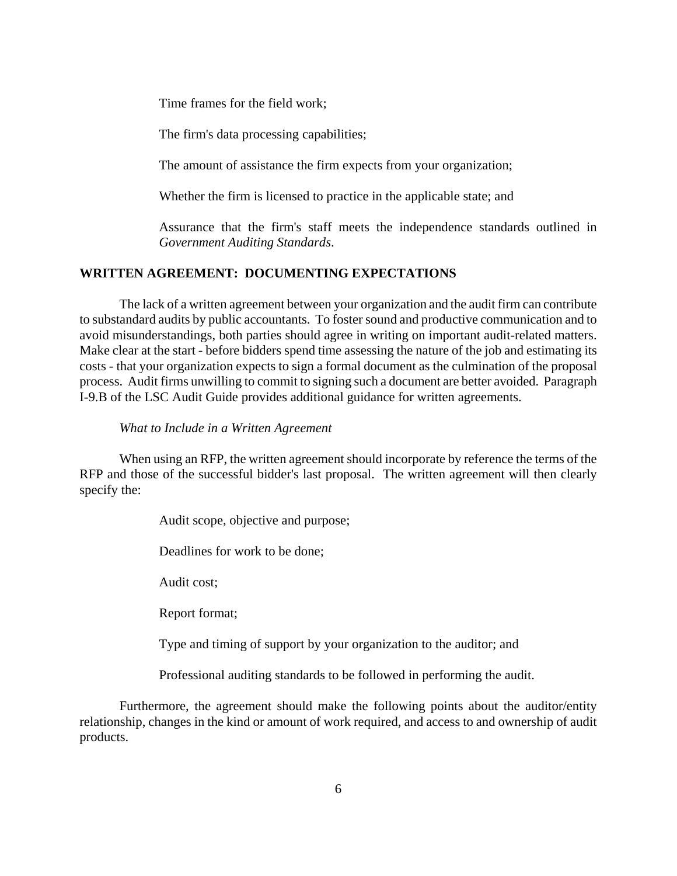Time frames for the field work;

The firm's data processing capabilities;

The amount of assistance the firm expects from your organization;

Whether the firm is licensed to practice in the applicable state; and

Assurance that the firm's staff meets the independence standards outlined in *Government Auditing Standards*.

#### **WRITTEN AGREEMENT: DOCUMENTING EXPECTATIONS**

The lack of a written agreement between your organization and the audit firm can contribute to substandard audits by public accountants. To foster sound and productive communication and to avoid misunderstandings, both parties should agree in writing on important audit-related matters. Make clear at the start - before bidders spend time assessing the nature of the job and estimating its costs - that your organization expects to sign a formal document as the culmination of the proposal process. Audit firms unwilling to commit to signing such a document are better avoided. Paragraph I-9.B of the LSC Audit Guide provides additional guidance for written agreements.

#### *What to Include in a Written Agreement*

When using an RFP, the written agreement should incorporate by reference the terms of the RFP and those of the successful bidder's last proposal. The written agreement will then clearly specify the:

Audit scope, objective and purpose;

Deadlines for work to be done;

Audit cost;

Report format;

Type and timing of support by your organization to the auditor; and

Professional auditing standards to be followed in performing the audit.

Furthermore, the agreement should make the following points about the auditor/entity relationship, changes in the kind or amount of work required, and access to and ownership of audit products.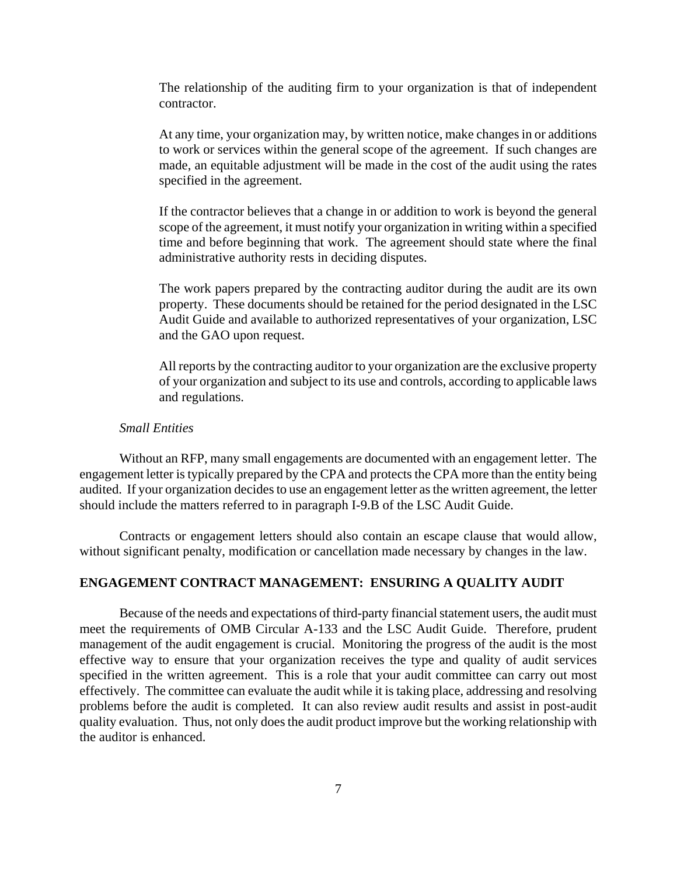The relationship of the auditing firm to your organization is that of independent contractor.

At any time, your organization may, by written notice, make changes in or additions to work or services within the general scope of the agreement. If such changes are made, an equitable adjustment will be made in the cost of the audit using the rates specified in the agreement.

If the contractor believes that a change in or addition to work is beyond the general scope of the agreement, it must notify your organization in writing within a specified time and before beginning that work. The agreement should state where the final administrative authority rests in deciding disputes.

The work papers prepared by the contracting auditor during the audit are its own property. These documents should be retained for the period designated in the LSC Audit Guide and available to authorized representatives of your organization, LSC and the GAO upon request.

All reports by the contracting auditor to your organization are the exclusive property of your organization and subject to its use and controls, according to applicable laws and regulations.

#### *Small Entities*

Without an RFP, many small engagements are documented with an engagement letter. The engagement letter is typically prepared by the CPA and protects the CPA more than the entity being audited. If your organization decides to use an engagement letter as the written agreement, the letter should include the matters referred to in paragraph I-9.B of the LSC Audit Guide.

Contracts or engagement letters should also contain an escape clause that would allow, without significant penalty, modification or cancellation made necessary by changes in the law.

#### **ENGAGEMENT CONTRACT MANAGEMENT: ENSURING A QUALITY AUDIT**

Because of the needs and expectations of third-party financial statement users, the audit must meet the requirements of OMB Circular A-133 and the LSC Audit Guide. Therefore, prudent management of the audit engagement is crucial. Monitoring the progress of the audit is the most effective way to ensure that your organization receives the type and quality of audit services specified in the written agreement. This is a role that your audit committee can carry out most effectively. The committee can evaluate the audit while it is taking place, addressing and resolving problems before the audit is completed. It can also review audit results and assist in post-audit quality evaluation. Thus, not only does the audit product improve but the working relationship with the auditor is enhanced.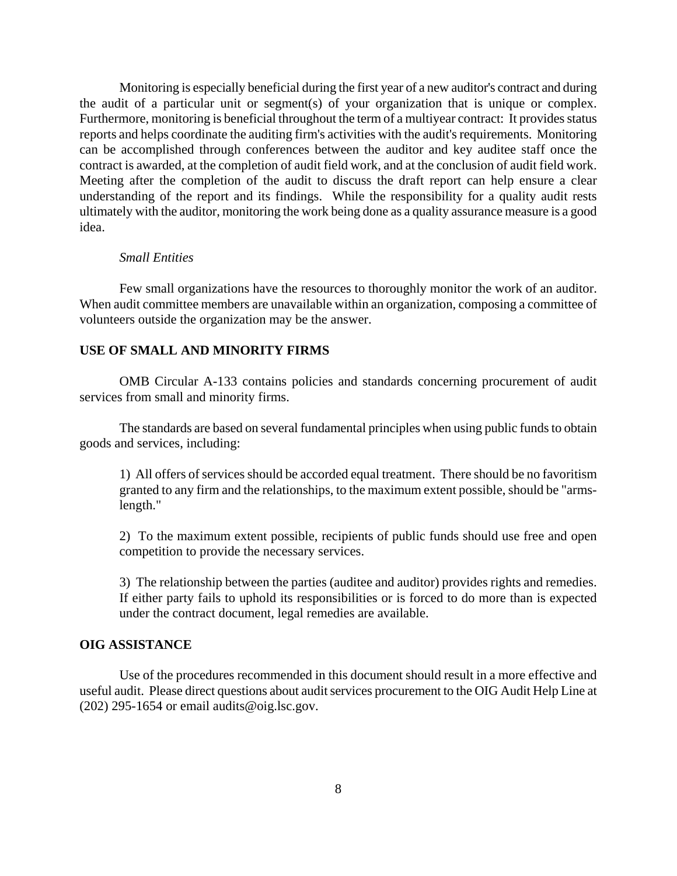Monitoring is especially beneficial during the first year of a new auditor's contract and during the audit of a particular unit or segment(s) of your organization that is unique or complex. Furthermore, monitoring is beneficial throughout the term of a multiyear contract: It provides status reports and helps coordinate the auditing firm's activities with the audit's requirements. Monitoring can be accomplished through conferences between the auditor and key auditee staff once the contract is awarded, at the completion of audit field work, and at the conclusion of audit field work. Meeting after the completion of the audit to discuss the draft report can help ensure a clear understanding of the report and its findings. While the responsibility for a quality audit rests ultimately with the auditor, monitoring the work being done as a quality assurance measure is a good idea.

#### *Small Entities*

Few small organizations have the resources to thoroughly monitor the work of an auditor. When audit committee members are unavailable within an organization, composing a committee of volunteers outside the organization may be the answer.

#### **USE OF SMALL AND MINORITY FIRMS**

OMB Circular A-133 contains policies and standards concerning procurement of audit services from small and minority firms.

The standards are based on several fundamental principles when using public funds to obtain goods and services, including:

1) All offers of services should be accorded equal treatment. There should be no favoritism granted to any firm and the relationships, to the maximum extent possible, should be "armslength."

2) To the maximum extent possible, recipients of public funds should use free and open competition to provide the necessary services.

3) The relationship between the parties (auditee and auditor) provides rights and remedies. If either party fails to uphold its responsibilities or is forced to do more than is expected under the contract document, legal remedies are available.

#### **OIG ASSISTANCE**

Use of the procedures recommended in this document should result in a more effective and useful audit. Please direct questions about audit services procurement to the OIG Audit Help Line at  $(202)$  295-1654 or email audits@oig.lsc.gov.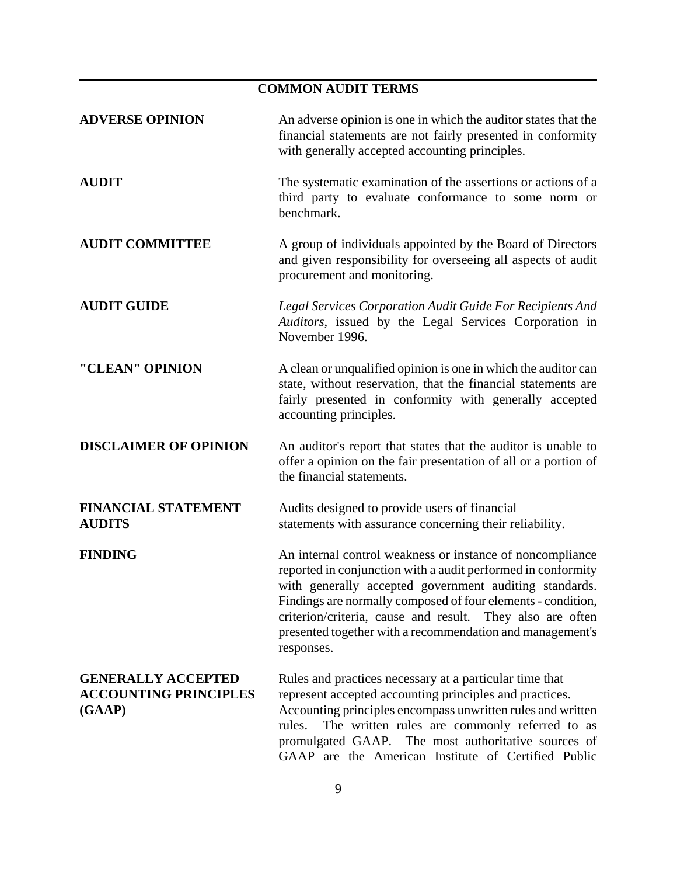## **COMMON AUDIT TERMS ADVERSE OPINION** An adverse opinion is one in which the auditor states that the financial statements are not fairly presented in conformity with generally accepted accounting principles. **AUDIT** The systematic examination of the assertions or actions of a third party to evaluate conformance to some norm or benchmark. **AUDIT COMMITTEE** A group of individuals appointed by the Board of Directors and given responsibility for overseeing all aspects of audit procurement and monitoring. **AUDIT GUIDE** *Legal Services Corporation Audit Guide For Recipients And Auditors*, issued by the Legal Services Corporation in November 1996. **"CLEAN" OPINION** A clean or unqualified opinion is one in which the auditor can state, without reservation, that the financial statements are fairly presented in conformity with generally accepted accounting principles. **DISCLAIMER OF OPINION** An auditor's report that states that the auditor is unable to offer a opinion on the fair presentation of all or a portion of the financial statements. **FINANCIAL STATEMENT** Audits designed to provide users of financial **AUDITS** statements with assurance concerning their reliability. **FINDING** An internal control weakness or instance of noncompliance reported in conjunction with a audit performed in conformity with generally accepted government auditing standards. Findings are normally composed of four elements - condition, criterion/criteria, cause and result. They also are often presented together with a recommendation and management's responses. **GENERALLY ACCEPTED** Rules and practices necessary at a particular time that ACCOUNTING PRINCIPLES represent accepted accounting principles and practices. **(GAAP)** Accounting principles encompass unwritten rules and written rules. The written rules are commonly referred to as promulgated GAAP. The most authoritative sources of GAAP are the American Institute of Certified Public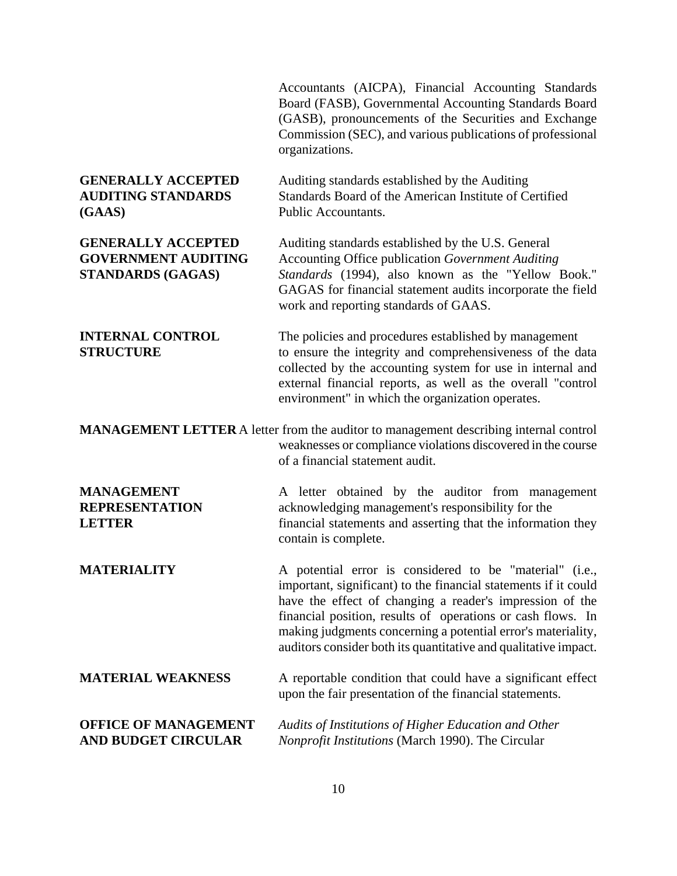Accountants (AICPA), Financial Accounting Standards Board (FASB), Governmental Accounting Standards Board (GASB), pronouncements of the Securities and Exchange Commission (SEC), and various publications of professional organizations.

# **(GAAS)** Public Accountants.

**GENERALLY ACCEPTED** Auditing standards established by the Auditing **AUDITING STANDARDS** Standards Board of the American Institute of Certified

**GENERALLY ACCEPTED** Auditing standards established by the U.S. General **GOVERNMENT AUDITING** Accounting Office publication *Government Auditing* **STANDARDS (GAGAS)** *Standards* (1994), also known as the "Yellow Book." GAGAS for financial statement audits incorporate the field work and reporting standards of GAAS.

**INTERNAL CONTROL** The policies and procedures established by management **STRUCTURE** to ensure the integrity and comprehensiveness of the data collected by the accounting system for use in internal and external financial reports, as well as the overall "control environment" in which the organization operates.

**MANAGEMENT LETTER** A letter from the auditor to management describing internal control weaknesses or compliance violations discovered in the course of a financial statement audit.

**MANAGEMENT** A letter obtained by the auditor from management **REPRESENTATION** acknowledging management's responsibility for the **LETTER** financial statements and asserting that the information they contain is complete.

**MATERIALITY** A potential error is considered to be "material" (i.e., important, significant) to the financial statements if it could have the effect of changing a reader's impression of the financial position, results of operations or cash flows. In making judgments concerning a potential error's materiality, auditors consider both its quantitative and qualitative impact.

## **MATERIAL WEAKNESS** A reportable condition that could have a significant effect upon the fair presentation of the financial statements.

### **OFFICE OF MANAGEMENT** *Audits of Institutions of Higher Education and Other*  **AND BUDGET CIRCULAR** *Nonprofit Institutions* (March 1990). The Circular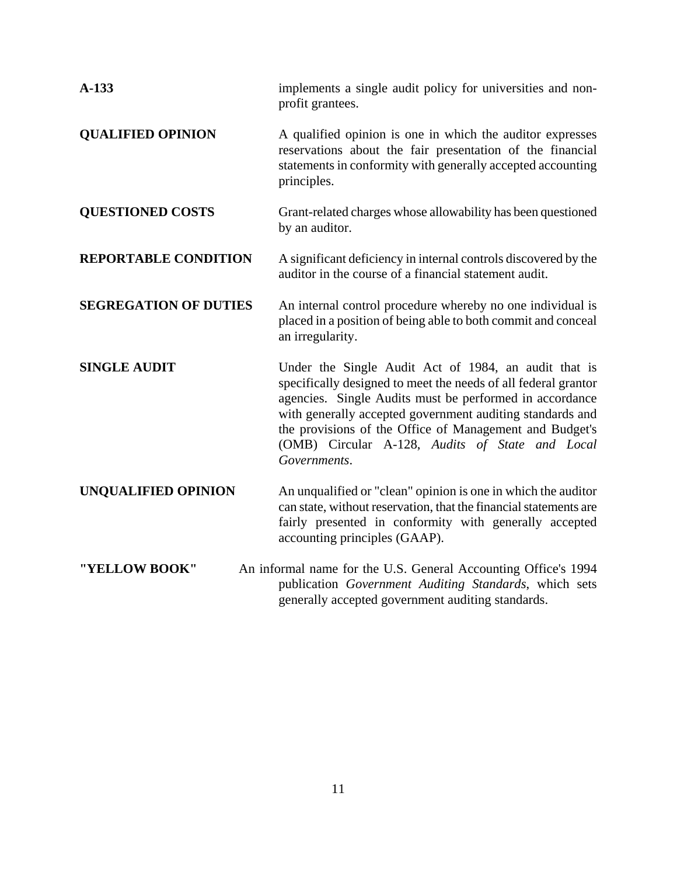| $A-133$                      | implements a single audit policy for universities and non-<br>profit grantees.                                                                                                                                                                                                                                                                                               |
|------------------------------|------------------------------------------------------------------------------------------------------------------------------------------------------------------------------------------------------------------------------------------------------------------------------------------------------------------------------------------------------------------------------|
| <b>QUALIFIED OPINION</b>     | A qualified opinion is one in which the auditor expresses<br>reservations about the fair presentation of the financial<br>statements in conformity with generally accepted accounting<br>principles.                                                                                                                                                                         |
| <b>QUESTIONED COSTS</b>      | Grant-related charges whose allowability has been questioned<br>by an auditor.                                                                                                                                                                                                                                                                                               |
| <b>REPORTABLE CONDITION</b>  | A significant deficiency in internal controls discovered by the<br>auditor in the course of a financial statement audit.                                                                                                                                                                                                                                                     |
| <b>SEGREGATION OF DUTIES</b> | An internal control procedure whereby no one individual is<br>placed in a position of being able to both commit and conceal<br>an irregularity.                                                                                                                                                                                                                              |
| <b>SINGLE AUDIT</b>          | Under the Single Audit Act of 1984, an audit that is<br>specifically designed to meet the needs of all federal grantor<br>agencies. Single Audits must be performed in accordance<br>with generally accepted government auditing standards and<br>the provisions of the Office of Management and Budget's<br>(OMB) Circular A-128, Audits of State and Local<br>Governments. |
| <b>UNQUALIFIED OPINION</b>   | An unqualified or "clean" opinion is one in which the auditor<br>can state, without reservation, that the financial statements are<br>fairly presented in conformity with generally accepted<br>accounting principles (GAAP).                                                                                                                                                |
| "YELLOW BOOK"                | An informal name for the U.S. General Accounting Office's 1994<br>publication Government Auditing Standards, which sets                                                                                                                                                                                                                                                      |

generally accepted government auditing standards.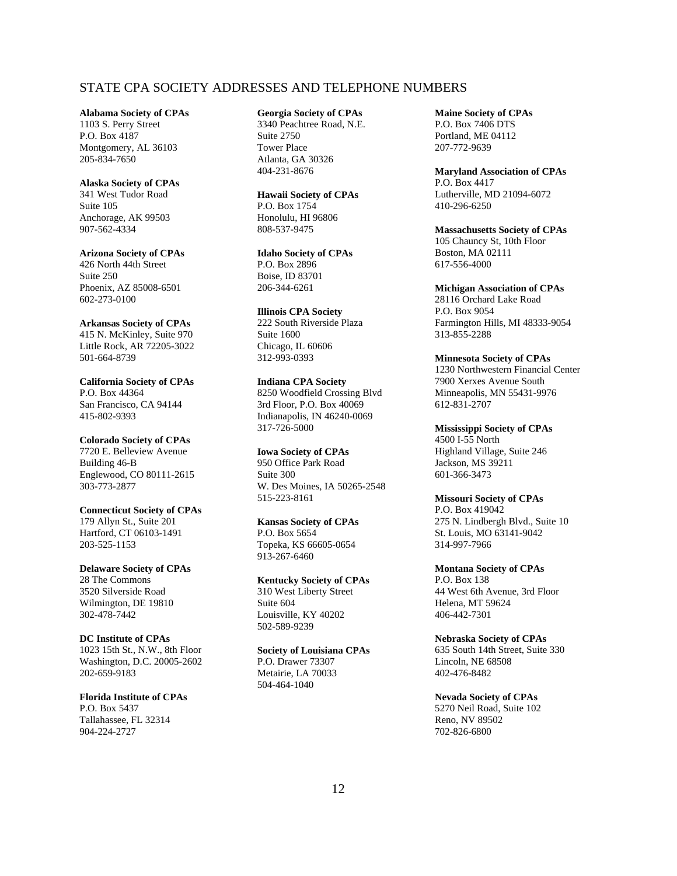#### STATE CPA SOCIETY ADDRESSES AND TELEPHONE NUMBERS

#### **Alabama Society of CPAs**

1103 S. Perry Street P.O. Box 4187 Montgomery, AL 36103 205-834-7650

#### **Alaska Society of CPAs**

341 West Tudor Road Suite 105 Anchorage, AK 99503 907-562-4334

#### **Arizona Society of CPAs**

426 North 44th Street Suite 250 Phoenix, AZ 85008-6501 602-273-0100

#### **Arkansas Society of CPAs**

415 N. McKinley, Suite 970 Little Rock, AR 72205-3022 501-664-8739

**California Society of CPAs** P.O. Box 44364 San Francisco, CA 94144 415-802-9393

#### **Colorado Society of CPAs**

7720 E. Belleview Avenue Building 46-B Englewood, CO 80111-2615 303-773-2877

#### **Connecticut Society of CPAs**

179 Allyn St., Suite 201 Hartford, CT 06103-1491 203-525-1153

#### **Delaware Society of CPAs**

28 The Commons 3520 Silverside Road Wilmington, DE 19810 302-478-7442

#### **DC Institute of CPAs**

1023 15th St., N.W., 8th Floor Washington, D.C. 20005-2602 202-659-9183

#### **Florida Institute of CPAs** P.O. Box 5437 Tallahassee, FL 32314 904-224-2727

#### **Georgia Society of CPAs**

3340 Peachtree Road, N.E. Suite 2750 Tower Place Atlanta, GA 30326 404-231-8676

#### **Hawaii Society of CPAs** P.O. Box 1754 Honolulu, HI 96806

808-537-9475

#### **Idaho Society of CPAs** P.O. Box 2896 Boise, ID 83701 206-344-6261

**Illinois CPA Society** 222 South Riverside Plaza Suite 1600 Chicago, IL 60606 312-993-0393

**Indiana CPA Society** 8250 Woodfield Crossing Blvd 3rd Floor, P.O. Box 40069 Indianapolis, IN 46240-0069 317-726-5000

#### **Iowa Society of CPAs**

950 Office Park Road Suite 300 W. Des Moines, IA 50265-2548 515-223-8161

#### **Kansas Society of CPAs** P.O. Box 5654 Topeka, KS 66605-0654 913-267-6460

**Kentucky Society of CPAs** 310 West Liberty Street Suite 604 Louisville, KY 40202 502-589-9239

#### **Society of Louisiana CPAs**

P.O. Drawer 73307 Metairie, LA 70033 504-464-1040

#### **Maine Society of CPAs** P.O. Box 7406 DTS Portland, ME 04112 207-772-9639

**Maryland Association of CPAs** P.O. Box 4417 Lutherville, MD 21094-6072 410-296-6250

**Massachusetts Society of CPAs** 105 Chauncy St, 10th Floor Boston, MA 02111 617-556-4000

#### **Michigan Association of CPAs**

28116 Orchard Lake Road P.O. Box 9054 Farmington Hills, MI 48333-9054 313-855-2288

#### **Minnesota Society of CPAs**

1230 Northwestern Financial Center 7900 Xerxes Avenue South Minneapolis, MN 55431-9976 612-831-2707

#### **Mississippi Society of CPAs** 4500 I-55 North

Highland Village, Suite 246 Jackson, MS 39211 601-366-3473

#### **Missouri Society of CPAs**

P.O. Box 419042 275 N. Lindbergh Blvd., Suite 10 St. Louis, MO 63141-9042 314-997-7966

#### **Montana Society of CPAs** P.O. Box 138 44 West 6th Avenue, 3rd Floor Helena, MT 59624 406-442-7301

**Nebraska Society of CPAs** 635 South 14th Street, Suite 330 Lincoln, NE 68508 402-476-8482

#### **Nevada Society of CPAs**  5270 Neil Road, Suite 102 Reno, NV 89502 702-826-6800